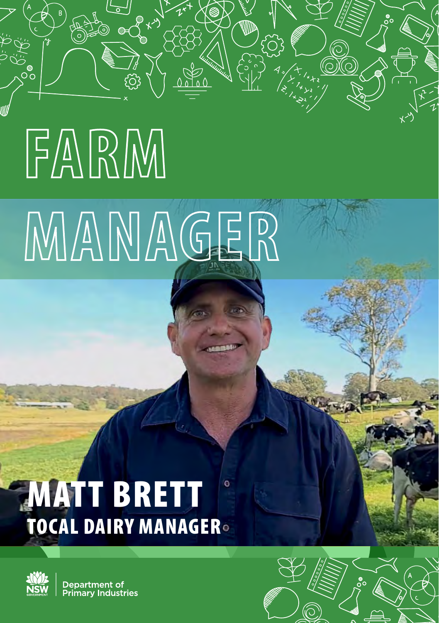## **FARM MANAGER**

## MATT BRETT ö TOCAL DAIRY MANAGER



൦ഁ

Department of **Primary Industries** 

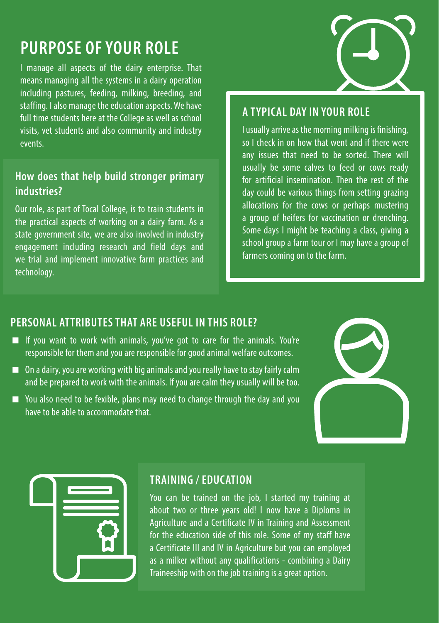## **PURPOSE OF YOUR ROLE**

I manage all aspects of the dairy enterprise. That means managing all the systems in a dairy operation including pastures, feeding, milking, breeding, and staffing. I also manage the education aspects. We have full time students here at the College as well as school visits, vet students and also community and industry events.

## **How does that help build stronger primary industries?**

Our role, as part of Tocal College, is to train students in the practical aspects of working on a dairy farm. As a state government site, we are also involved in industry engagement including research and field days and we trial and implement innovative farm practices and technology.



## **A TYPICAL DAY IN YOUR ROLE**

I usually arrive as the morning milking is finishing, so I check in on how that went and if there were any issues that need to be sorted. There will usually be some calves to feed or cows ready for artificial insemination. Then the rest of the day could be various things from setting grazing allocations for the cows or perhaps mustering a group of heifers for vaccination or drenching. Some days I might be teaching a class, giving a school group a farm tour or I may have a group of farmers coming on to the farm.

#### **PERSONAL ATTRIBUTES THAT ARE USEFUL IN THIS ROLE?**

- If you want to work with animals, you've got to care for the animals. You're responsible for them and you are responsible for good animal welfare outcomes.
- On a dairy, you are working with big animals and you really have to stay fairly calm and be prepared to work with the animals. If you are calm they usually will be too.
- You also need to be fexible, plans may need to change through the day and you have to be able to accommodate that.





### **TRAINING / EDUCATION**

You can be trained on the job, I started my training at about two or three years old! I now have a Diploma in Agriculture and a Certificate IV in Training and Assessment for the education side of this role. Some of my staff have a Certificate III and IV in Agriculture but you can employed as a milker without any qualifications - combining a Dairy Traineeship with on the job training is a great option.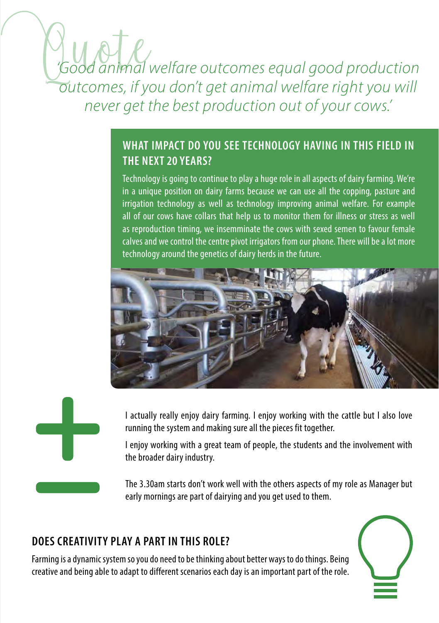## *'Good animal welfare outcomes equal good production outcomes, if you don't get animal welfare right you will never get the best production out of your cows.'*

## **WHAT IMPACT DO YOU SEE TECHNOLOGY HAVING IN THIS FIELD IN THE NEXT 20 YEARS?**

Technology is going to continue to play a huge role in all aspects of dairy farming. We're in a unique position on dairy farms because we can use all the copping, pasture and irrigation technology as well as technology improving animal welfare. For example all of our cows have collars that help us to monitor them for illness or stress as well as reproduction timing, we insemminate the cows with sexed semen to favour female calves and we control the centre pivot irrigators from our phone. There will be a lot more technology around the genetics of dairy herds in the future.





I actually really enjoy dairy farming. I enjoy working with the cattle but I also love running the system and making sure all the pieces fit together.

I enjoy working with a great team of people, the students and the involvement with the broader dairy industry.

The 3.30am starts don't work well with the others aspects of my role as Manager but early mornings are part of dairying and you get used to them.

## **DOES CREATIVITY PLAY A PART IN THIS ROLE?**

Farming is a dynamic system so you do need to be thinking about better ways to do things. Being creative and being able to adapt to different scenarios each day is an important part of the role.